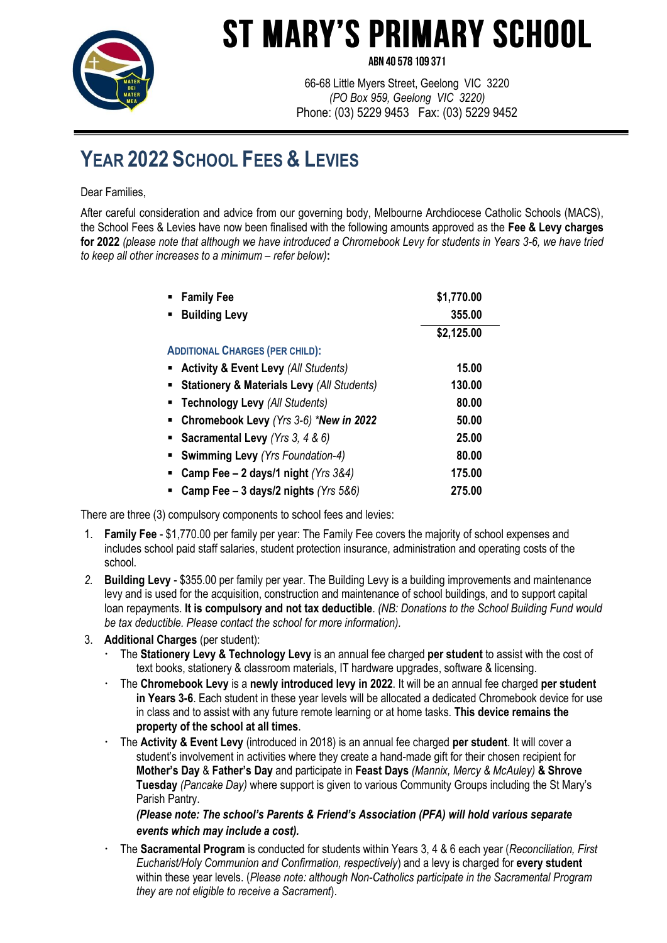

## **ST MARY'S PRIMARY SCHOOL**

ARN 40 578 109 371

66-68 Little Myers Street, Geelong VIC 3220 *(PO Box 959, Geelong VIC 3220)* Phone: (03) 5229 9453 Fax: (03) 5229 9452

## **YEAR 2022 SCHOOL FEES & LEVIES**

Dear Families,

After careful consideration and advice from our governing body, Melbourne Archdiocese Catholic Schools (MACS), the School Fees & Levies have now been finalised with the following amounts approved as the **Fee & Levy charges for 2022** *(please note that although we have introduced a Chromebook Levy for students in Years 3-6, we have tried to keep all other increases to a minimum – refer below)***:**

| <b>Family Fee</b>                                     | \$1,770.00 |
|-------------------------------------------------------|------------|
| <b>Building Levy</b>                                  | 355.00     |
|                                                       | \$2,125.00 |
| <b>ADDITIONAL CHARGES (PER CHILD):</b>                |            |
| <b>Activity &amp; Event Levy (All Students)</b>       | 15.00      |
| <b>Stationery &amp; Materials Levy (All Students)</b> | 130.00     |
| <b>Technology Levy (All Students)</b>                 | 80.00      |
| Chromebook Levy (Yrs 3-6) *New in 2022                | 50.00      |
| <b>Sacramental Levy</b> (Yrs 3, 4 & 6)                | 25.00      |
| <b>Swimming Levy (Yrs Foundation-4)</b><br>٠          | 80.00      |
| Camp Fee - 2 days/1 night (Yrs 3&4)<br>٠              | 175.00     |
| Camp Fee $-$ 3 days/2 nights (Yrs 5&6)                | 275.00     |

There are three (3) compulsory components to school fees and levies:

- 1. **Family Fee**  \$1,770.00 per family per year: The Family Fee covers the majority of school expenses and includes school paid staff salaries, student protection insurance, administration and operating costs of the school.
- *2.* **Building Levy** \$355.00 per family per year. The Building Levy is a building improvements and maintenance levy and is used for the acquisition, construction and maintenance of school buildings, and to support capital loan repayments. **It is compulsory and not tax deductible**. *(NB: Donations to the School Building Fund would be tax deductible. Please contact the school for more information).*

## 3. **Additional Charges** (per student):

- The **Stationery Levy & Technology Levy** is an annual fee charged **per student** to assist with the cost of text books, stationery & classroom materials, IT hardware upgrades, software & licensing.
- The **Chromebook Levy** is a **newly introduced levy in 2022**. It will be an annual fee charged **per student in Years 3-6**. Each student in these year levels will be allocated a dedicated Chromebook device for use in class and to assist with any future remote learning or at home tasks. **This device remains the property of the school at all times**.
- The **Activity & Event Levy** (introduced in 2018) is an annual fee charged **per student**. It will cover a student's involvement in activities where they create a hand-made gift for their chosen recipient for **Mother's Day** & **Father's Day** and participate in **Feast Days** *(Mannix, Mercy & McAuley)* **& Shrove Tuesday** *(Pancake Day)* where support is given to various Community Groups including the St Mary's Parish Pantry.

## *(Please note: The school's Parents & Friend's Association (PFA) will hold various separate events which may include a cost).*

 The **Sacramental Program** is conducted for students within Years 3, 4 & 6 each year (*Reconciliation, First Eucharist/Holy Communion and Confirmation, respectively*) and a levy is charged for **every student** within these year levels. (*Please note: although Non-Catholics participate in the Sacramental Program they are not eligible to receive a Sacrament*).